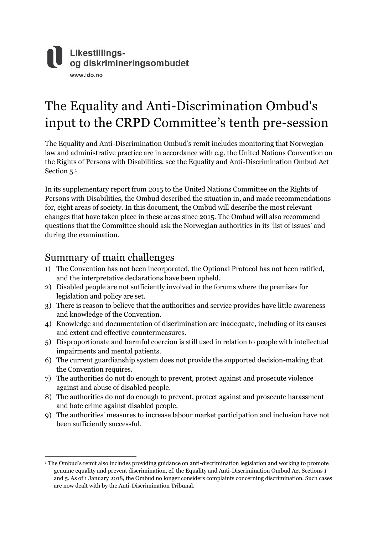

# The Equality and Anti-Discrimination Ombud's input to the CRPD Committee's tenth pre-session

The Equality and Anti-Discrimination Ombud's remit includes monitoring that Norwegian law and administrative practice are in accordance with e.g. the United Nations Convention on the Rights of Persons with Disabilities, see the Equality and Anti-Discrimination Ombud Act Section 5.<sup>1</sup>

In its supplementary report from 2015 to the United Nations Committee on the Rights of Persons with Disabilities, the Ombud described the situation in, and made recommendations for, eight areas of society. In this document, the Ombud will describe the most relevant changes that have taken place in these areas since 2015. The Ombud will also recommend questions that the Committee should ask the Norwegian authorities in its 'list of issues' and during the examination.

#### Summary of main challenges

- 1) The Convention has not been incorporated, the Optional Protocol has not been ratified, and the interpretative declarations have been upheld.
- 2) Disabled people are not sufficiently involved in the forums where the premises for legislation and policy are set.
- 3) There is reason to believe that the authorities and service provides have little awareness and knowledge of the Convention.
- 4) Knowledge and documentation of discrimination are inadequate, including of its causes and extent and effective countermeasures.
- 5) Disproportionate and harmful coercion is still used in relation to people with intellectual impairments and mental patients.
- 6) The current guardianship system does not provide the supported decision-making that the Convention requires.
- 7) The authorities do not do enough to prevent, protect against and prosecute violence against and abuse of disabled people.
- 8) The authorities do not do enough to prevent, protect against and prosecute harassment and hate crime against disabled people.
- 9) The authorities' measures to increase labour market participation and inclusion have not been sufficiently successful.

<sup>&</sup>lt;u>.</u> <sup>1</sup> The Ombud's remit also includes providing guidance on anti-discrimination legislation and working to promote genuine equality and prevent discrimination, cf. the Equality and Anti-Discrimination Ombud Act Sections 1 and 5. As of 1 January 2018, the Ombud no longer considers complaints concerning discrimination. Such cases are now dealt with by the Anti-Discrimination Tribunal.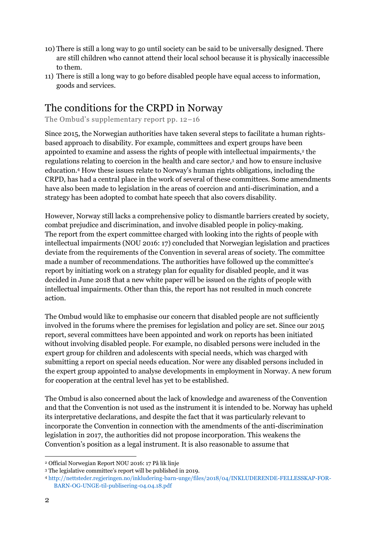- 10) There is still a long way to go until society can be said to be universally designed. There are still children who cannot attend their local school because it is physically inaccessible to them.
- 11) There is still a long way to go before disabled people have equal access to information, goods and services.

### The conditions for the CRPD in Norway

The Ombud's supplementary report pp. 12–16

Since 2015, the Norwegian authorities have taken several steps to facilitate a human rightsbased approach to disability. For example, committees and expert groups have been appointed to examine and assess the rights of people with intellectual impairments,<sup>2</sup> the regulations relating to coercion in the health and care sector,<sup>3</sup> and how to ensure inclusive education.<sup>4</sup> How these issues relate to Norway's human rights obligations, including the CRPD, has had a central place in the work of several of these committees. Some amendments have also been made to legislation in the areas of coercion and anti-discrimination, and a strategy has been adopted to combat hate speech that also covers disability.

However, Norway still lacks a comprehensive policy to dismantle barriers created by society, combat prejudice and discrimination, and involve disabled people in policy-making. The report from the expert committee charged with looking into the rights of people with intellectual impairments (NOU 2016: 17) concluded that Norwegian legislation and practices deviate from the requirements of the Convention in several areas of society. The committee made a number of recommendations. The authorities have followed up the committee's report by initiating work on a strategy plan for equality for disabled people, and it was decided in June 2018 that a new white paper will be issued on the rights of people with intellectual impairments. Other than this, the report has not resulted in much concrete action.

The Ombud would like to emphasise our concern that disabled people are not sufficiently involved in the forums where the premises for legislation and policy are set. Since our 2015 report, several committees have been appointed and work on reports has been initiated without involving disabled people. For example, no disabled persons were included in the expert group for children and adolescents with special needs, which was charged with submitting a report on special needs education. Nor were any disabled persons included in the expert group appointed to analyse developments in employment in Norway. A new forum for cooperation at the central level has yet to be established.

The Ombud is also concerned about the lack of knowledge and awareness of the Convention and that the Convention is not used as the instrument it is intended to be. Norway has upheld its interpretative declarations, and despite the fact that it was particularly relevant to incorporate the Convention in connection with the amendments of the anti-discrimination legislation in 2017, the authorities did not propose incorporation. This weakens the Convention's position as a legal instrument. It is also reasonable to assume that

<sup>&</sup>lt;u>.</u> <sup>2</sup> Official Norwegian Report NOU 2016: 17 På lik linje

<sup>3</sup> The legislative committee's report will be published in 2019.

<sup>4</sup> [http://nettsteder.regjeringen.no/inkludering-barn-unge/files/2018/04/INKLUDERENDE-FELLESSKAP-FOR-](http://nettsteder.regjeringen.no/inkludering-barn-unge/files/2018/04/INKLUDERENDE-FELLESSKAP-FOR-BARN-OG-UNGE-til-publisering-04.04.18.pdf)[BARN-OG-UNGE-til-publisering-04.04.18.pdf](http://nettsteder.regjeringen.no/inkludering-barn-unge/files/2018/04/INKLUDERENDE-FELLESSKAP-FOR-BARN-OG-UNGE-til-publisering-04.04.18.pdf)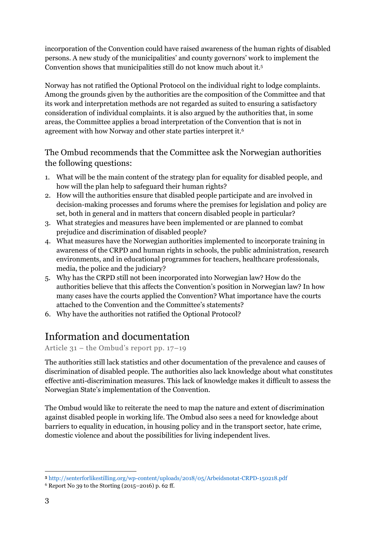incorporation of the Convention could have raised awareness of the human rights of disabled persons. A new study of the municipalities' and county governors' work to implement the Convention shows that municipalities still do not know much about it.<sup>5</sup>

Norway has not ratified the Optional Protocol on the individual right to lodge complaints. Among the grounds given by the authorities are the composition of the Committee and that its work and interpretation methods are not regarded as suited to ensuring a satisfactory consideration of individual complaints. it is also argued by the authorities that, in some areas, the Committee applies a broad interpretation of the Convention that is not in agreement with how Norway and other state parties interpret it.<sup>6</sup>

The Ombud recommends that the Committee ask the Norwegian authorities the following questions:

- 1. What will be the main content of the strategy plan for equality for disabled people, and how will the plan help to safeguard their human rights?
- 2. How will the authorities ensure that disabled people participate and are involved in decision-making processes and forums where the premises for legislation and policy are set, both in general and in matters that concern disabled people in particular?
- 3. What strategies and measures have been implemented or are planned to combat prejudice and discrimination of disabled people?
- 4. What measures have the Norwegian authorities implemented to incorporate training in awareness of the CRPD and human rights in schools, the public administration, research environments, and in educational programmes for teachers, healthcare professionals, media, the police and the judiciary?
- 5. Why has the CRPD still not been incorporated into Norwegian law? How do the authorities believe that this affects the Convention's position in Norwegian law? In how many cases have the courts applied the Convention? What importance have the courts attached to the Convention and the Committee's statements?
- 6. Why have the authorities not ratified the Optional Protocol?

# Information and documentation

Article 31 – the Ombud's report pp. 17–19

The authorities still lack statistics and other documentation of the prevalence and causes of discrimination of disabled people. The authorities also lack knowledge about what constitutes effective anti-discrimination measures. This lack of knowledge makes it difficult to assess the Norwegian State's implementation of the Convention.

The Ombud would like to reiterate the need to map the nature and extent of discrimination against disabled people in working life. The Ombud also sees a need for knowledge about barriers to equality in education, in housing policy and in the transport sector, hate crime, domestic violence and about the possibilities for living independent lives.

<sup>&</sup>lt;u>.</u> **<sup>5</sup>** <http://senterforlikestilling.org/wp-content/uploads/2018/05/Arbeidsnotat-CRPD-150218.pdf>

<sup>6</sup> Report No 39 to the Storting (2015–2016) p. 62 ff.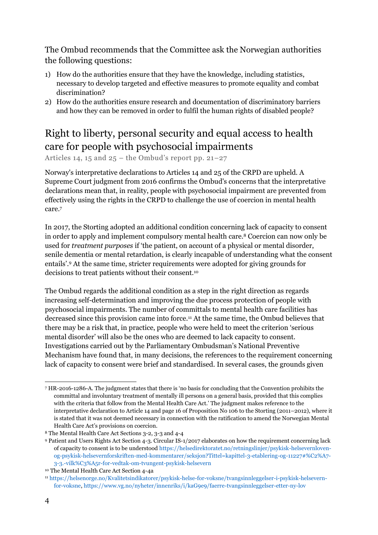The Ombud recommends that the Committee ask the Norwegian authorities the following questions:

- 1) How do the authorities ensure that they have the knowledge, including statistics, necessary to develop targeted and effective measures to promote equality and combat discrimination?
- 2) How do the authorities ensure research and documentation of discriminatory barriers and how they can be removed in order to fulfil the human rights of disabled people?

# Right to liberty, personal security and equal access to health care for people with psychosocial impairments

Articles 14, 15 and  $25$  – the Ombud's report pp. 21–27

Norway's interpretative declarations to Articles 14 and 25 of the CRPD are upheld. A Supreme Court judgment from 2016 confirms the Ombud's concerns that the interpretative declarations mean that, in reality, people with psychosocial impairment are prevented from effectively using the rights in the CRPD to challenge the use of coercion in mental health care.<sup>7</sup>

In 2017, the Storting adopted an additional condition concerning lack of capacity to consent in order to apply and implement compulsory mental health care.<sup>8</sup> Coercion can now only be used for *treatment purposes* if 'the patient, on account of a physical or mental disorder, senile dementia or mental retardation, is clearly incapable of understanding what the consent entails'.<sup>9</sup> At the same time, stricter requirements were adopted for giving grounds for decisions to treat patients without their consent.<sup>10</sup>

The Ombud regards the additional condition as a step in the right direction as regards increasing self-determination and improving the due process protection of people with psychosocial impairments. The number of committals to mental health care facilities has decreased since this provision came into force.<sup>11</sup> At the same time, the Ombud believes that there may be a risk that, in practice, people who were held to meet the criterion 'serious mental disorder' will also be the ones who are deemed to lack capacity to consent. Investigations carried out by the Parliamentary Ombudsman's National Preventive Mechanism have found that, in many decisions, the references to the requirement concerning lack of capacity to consent were brief and standardised. In several cases, the grounds given

<sup>&</sup>lt;u>.</u> <sup>7</sup> HR-2016-1286-A. The judgment states that there is 'no basis for concluding that the Convention prohibits the committal and involuntary treatment of mentally ill persons on a general basis, provided that this complies with the criteria that follow from the Mental Health Care Act.' The judgment makes reference to the interpretative declaration to Article 14 and page 16 of Proposition No 106 to the Storting (2011–2012), where it is stated that it was not deemed necessary in connection with the ratification to amend the Norwegian Mental Health Care Act's provisions on coercion.

<sup>8</sup> The Mental Health Care Act Sections 3-2, 3-3 and 4-4

<sup>9</sup> Patient and Users Rights Act Section 4-3. Circular IS-1/2017 elaborates on how the requirement concerning lack of capacity to consent is to be understood [https://helsedirektoratet.no/retningslinjer/psykisk-helsevernloven](https://helsedirektoratet.no/retningslinjer/psykisk-helsevernloven-og-psykisk-helsevernforskriften-med-kommentarer/seksjon?Tittel=kapittel-3-etablering-og-11227#%C2%A7-3-3.-vilk%C3%A5r-for-vedtak-om-tvungent-psykisk-helsevern)[og-psykisk-helsevernforskriften-med-kommentarer/seksjon?Tittel=kapittel-3-etablering-og-11227#%C2%A7-](https://helsedirektoratet.no/retningslinjer/psykisk-helsevernloven-og-psykisk-helsevernforskriften-med-kommentarer/seksjon?Tittel=kapittel-3-etablering-og-11227#%C2%A7-3-3.-vilk%C3%A5r-for-vedtak-om-tvungent-psykisk-helsevern) [3-3.-vilk%C3%A5r-for-vedtak-om-tvungent-psykisk-helsevern](https://helsedirektoratet.no/retningslinjer/psykisk-helsevernloven-og-psykisk-helsevernforskriften-med-kommentarer/seksjon?Tittel=kapittel-3-etablering-og-11227#%C2%A7-3-3.-vilk%C3%A5r-for-vedtak-om-tvungent-psykisk-helsevern)

<sup>10</sup> The Mental Health Care Act Section 4-4a

<sup>11</sup> [https://helsenorge.no/Kvalitetsindikatorer/psykisk-helse-for-voksne/tvangsinnleggelser-i-psykisk-helsevern](https://helsenorge.no/Kvalitetsindikatorer/psykisk-helse-for-voksne/tvangsinnleggelser-i-psykisk-helsevern-for-voksne)[for-voksne,](https://helsenorge.no/Kvalitetsindikatorer/psykisk-helse-for-voksne/tvangsinnleggelser-i-psykisk-helsevern-for-voksne)<https://www.vg.no/nyheter/innenriks/i/kaG9e9/faerre-tvangsinnleggelser-etter-ny-lov>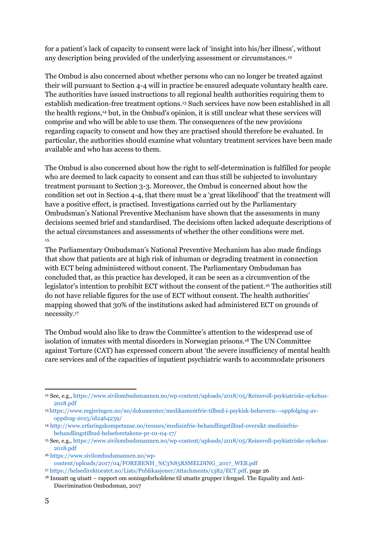for a patient's lack of capacity to consent were lack of 'insight into his/her illness', without any description being provided of the underlying assessment or circumstances.<sup>12</sup>

The Ombud is also concerned about whether persons who can no longer be treated against their will pursuant to Section 4-4 will in practice be ensured adequate voluntary health care. The authorities have issued instructions to all regional health authorities requiring them to establish medication-free treatment options.<sup>13</sup> Such services have now been established in all the health regions,<sup>14</sup> but, in the Ombud's opinion, it is still unclear what these services will comprise and who will be able to use them. The consequences of the new provisions regarding capacity to consent and how they are practised should therefore be evaluated. In particular, the authorities should examine what voluntary treatment services have been made available and who has access to them.

The Ombud is also concerned about how the right to self-determination is fulfilled for people who are deemed to lack capacity to consent and can thus still be subjected to involuntary treatment pursuant to Section 3-3. Moreover, the Ombud is concerned about how the condition set out in Section 4-4, that there must be a 'great likelihood' that the treatment will have a positive effect, is practised. Investigations carried out by the Parliamentary Ombudsman's National Preventive Mechanism have shown that the assessments in many decisions seemed brief and standardised. The decisions often lacked adequate descriptions of the actual circumstances and assessments of whether the other conditions were met. 15

The Parliamentary Ombudsman's National Preventive Mechanism has also made findings that show that patients are at high risk of inhuman or degrading treatment in connection with ECT being administered without consent. The Parliamentary Ombudsman has concluded that, as this practice has developed, it can be seen as a circumvention of the legislator's intention to prohibit ECT without the consent of the patient.<sup>16</sup> The authorities still do not have reliable figures for the use of ECT without consent. The health authorities' mapping showed that 30% of the institutions asked had administered ECT on grounds of necessity.<sup>17</sup>

The Ombud would also like to draw the Committee's attention to the widespread use of isolation of inmates with mental disorders in Norwegian prisons.<sup>18</sup> The UN Committee against Torture (CAT) has expressed concern about 'the severe insufficiency of mental health care services and of the capacities of inpatient psychiatric wards to accommodate prisoners

<sup>16</sup> [https://www.sivilombudsmannen.no/wp](https://www.sivilombudsmannen.no/wp-content/uploads/2017/04/FOREBENH_ÅRSMELDING_2017_WEB.pdf)[content/uploads/2017/04/FOREBENH\\_%C3%85RSMELDING\\_2017\\_WEB.pdf](https://www.sivilombudsmannen.no/wp-content/uploads/2017/04/FOREBENH_ÅRSMELDING_2017_WEB.pdf)

<sup>&</sup>lt;u>.</u> <sup>12</sup> See, e.g.[, https://www.sivilombudsmannen.no/wp-content/uploads/2018/05/Reinsvoll-psykiatriske-sykehus-](https://www.sivilombudsmannen.no/wp-content/uploads/2018/05/Reinsvoll-psykiatriske-sykehus-2018.pdf)[2018.pdf](https://www.sivilombudsmannen.no/wp-content/uploads/2018/05/Reinsvoll-psykiatriske-sykehus-2018.pdf)

<sup>13</sup> [https://www.regjeringen.no/no/dokumenter/medikamentfrie-tilbud-i-psykisk-helsevern---oppfolging-av](https://www.regjeringen.no/no/dokumenter/medikamentfrie-tilbud-i-psykisk-helsevern---oppfolging-av-oppdrag-2015/id2464239/)[oppdrag-2015/id2464239/](https://www.regjeringen.no/no/dokumenter/medikamentfrie-tilbud-i-psykisk-helsevern---oppfolging-av-oppdrag-2015/id2464239/)

<sup>14</sup> [http://www.erfaringskompetanse.no/ressurs/medisinfrie-behandlingstilbud-oversikt-medisinfrie](http://www.erfaringskompetanse.no/ressurs/medisinfrie-behandlingstilbud-oversikt-medisinfrie-behandlingstilbud-helseforetakene-pr-01-04-17/)[behandlingstilbud-helseforetakene-pr-01-04-17/](http://www.erfaringskompetanse.no/ressurs/medisinfrie-behandlingstilbud-oversikt-medisinfrie-behandlingstilbud-helseforetakene-pr-01-04-17/)

<sup>15</sup> See, e.g.[, https://www.sivilombudsmannen.no/wp-content/uploads/2018/05/Reinsvoll-psykiatriske-sykehus-](https://www.sivilombudsmannen.no/wp-content/uploads/2018/05/Reinsvoll-psykiatriske-sykehus-2018.pdf)[2018.pdf](https://www.sivilombudsmannen.no/wp-content/uploads/2018/05/Reinsvoll-psykiatriske-sykehus-2018.pdf)

<sup>17</sup> [https://helsedirektoratet.no/Lists/Publikasjoner/Attachments/1382/ECT.pdf,](https://helsedirektoratet.no/Lists/Publikasjoner/Attachments/1382/ECT.pdf) page 26

<sup>18</sup> Innsatt og utsatt – rapport om soningsforholdene til utsatte grupper i fengsel. The Equality and Anti-Discrimination Ombudsman, 2017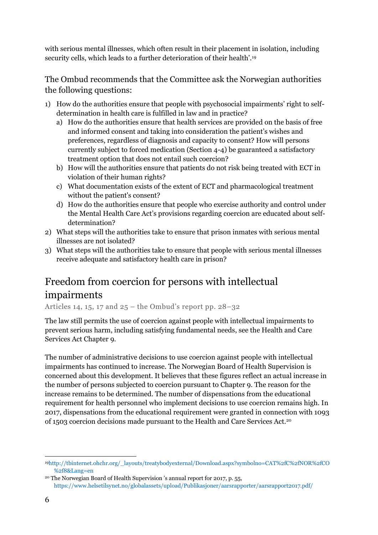with serious mental illnesses, which often result in their placement in isolation, including security cells, which leads to a further deterioration of their health'.<sup>19</sup>

The Ombud recommends that the Committee ask the Norwegian authorities the following questions:

- 1) How do the authorities ensure that people with psychosocial impairments' right to selfdetermination in health care is fulfilled in law and in practice?
	- a) How do the authorities ensure that health services are provided on the basis of free and informed consent and taking into consideration the patient's wishes and preferences, regardless of diagnosis and capacity to consent? How will persons currently subject to forced medication (Section 4-4) be guaranteed a satisfactory treatment option that does not entail such coercion?
	- b) How will the authorities ensure that patients do not risk being treated with ECT in violation of their human rights?
	- c) What documentation exists of the extent of ECT and pharmacological treatment without the patient's consent?
	- d) How do the authorities ensure that people who exercise authority and control under the Mental Health Care Act's provisions regarding coercion are educated about selfdetermination?
- 2) What steps will the authorities take to ensure that prison inmates with serious mental illnesses are not isolated?
- 3) What steps will the authorities take to ensure that people with serious mental illnesses receive adequate and satisfactory health care in prison?

# Freedom from coercion for persons with intellectual impairments

Articles 14, 15, 17 and  $25$  – the Ombud's report pp. 28–32

The law still permits the use of coercion against people with intellectual impairments to prevent serious harm, including satisfying fundamental needs, see the Health and Care Services Act Chapter 9.

The number of administrative decisions to use coercion against people with intellectual impairments has continued to increase. The Norwegian Board of Health Supervision is concerned about this development. It believes that these figures reflect an actual increase in the number of persons subjected to coercion pursuant to Chapter 9. The reason for the increase remains to be determined. The number of dispensations from the educational requirement for health personnel who implement decisions to use coercion remains high. In 2017, dispensations from the educational requirement were granted in connection with 1093 of 1503 coercion decisions made pursuant to the Health and Care Services Act.<sup>20</sup>

<sup>&</sup>lt;u>.</u> <sup>19</sup>[http://tbinternet.ohchr.org/\\_layouts/treatybodyexternal/Download.aspx?symbolno=CAT%2fC%2fNOR%2fCO](http://tbinternet.ohchr.org/_layouts/treatybodyexternal/Download.aspx?symbolno=CAT/C/NOR/CO/8&Lang=en) [%2f8&Lang=en](http://tbinternet.ohchr.org/_layouts/treatybodyexternal/Download.aspx?symbolno=CAT/C/NOR/CO/8&Lang=en)

<sup>20</sup> The Norwegian Board of Health Supervision 's annual report for 2017, p. 55, <https://www.helsetilsynet.no/globalassets/upload/Publikasjoner/aarsrapporter/aarsrapport2017.pdf/>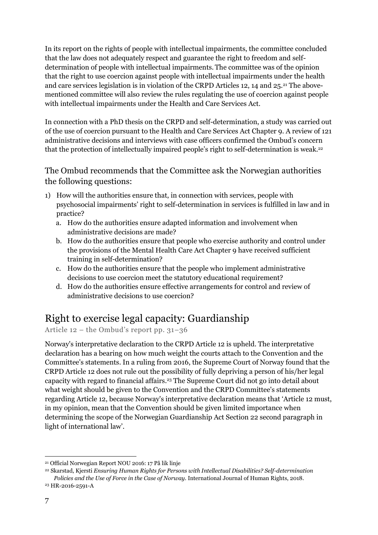In its report on the rights of people with intellectual impairments, the committee concluded that the law does not adequately respect and guarantee the right to freedom and selfdetermination of people with intellectual impairments. The committee was of the opinion that the right to use coercion against people with intellectual impairments under the health and care services legislation is in violation of the CRPD Articles 12, 14 and 25.<sup>21</sup> The abovementioned committee will also review the rules regulating the use of coercion against people with intellectual impairments under the Health and Care Services Act.

In connection with a PhD thesis on the CRPD and self-determination, a study was carried out of the use of coercion pursuant to the Health and Care Services Act Chapter 9. A review of 121 administrative decisions and interviews with case officers confirmed the Ombud's concern that the protection of intellectually impaired people's right to self-determination is weak.<sup>22</sup>

#### The Ombud recommends that the Committee ask the Norwegian authorities the following questions:

- 1) How will the authorities ensure that, in connection with services, people with psychosocial impairments' right to self-determination in services is fulfilled in law and in practice?
	- a. How do the authorities ensure adapted information and involvement when administrative decisions are made?
	- b. How do the authorities ensure that people who exercise authority and control under the provisions of the Mental Health Care Act Chapter 9 have received sufficient training in self-determination?
	- c. How do the authorities ensure that the people who implement administrative decisions to use coercion meet the statutory educational requirement?
	- d. How do the authorities ensure effective arrangements for control and review of administrative decisions to use coercion?

# Right to exercise legal capacity: Guardianship

Article 12 – the Ombud's report pp. 31–36

Norway's interpretative declaration to the CRPD Article 12 is upheld. The interpretative declaration has a bearing on how much weight the courts attach to the Convention and the Committee's statements. In a ruling from 2016, the Supreme Court of Norway found that the CRPD Article 12 does not rule out the possibility of fully depriving a person of his/her legal capacity with regard to financial affairs.<sup>23</sup> The Supreme Court did not go into detail about what weight should be given to the Convention and the CRPD Committee's statements regarding Article 12, because Norway's interpretative declaration means that 'Article 12 must, in my opinion, mean that the Convention should be given limited importance when determining the scope of the Norwegian Guardianship Act Section 22 second paragraph in light of international law'.

<sup>&</sup>lt;u>.</u> <sup>21</sup> Official Norwegian Report NOU 2016: 17 På lik linje

<sup>22</sup> Skarstad, Kjersti *Ensuring Human Rights for Persons with Intellectual Disabilities? Self-determination Policies and the Use of Force in the Case of Norway.* International Journal of Human Rights, 2018.

<sup>23</sup> HR-2016-2591-A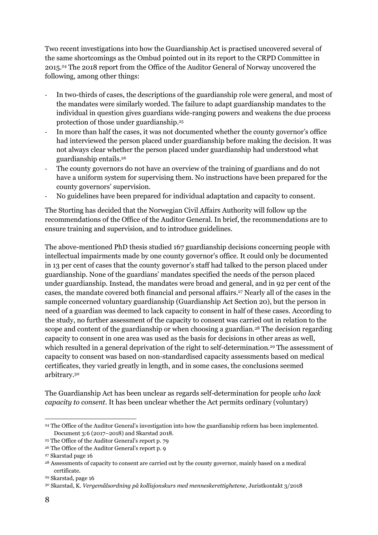Two recent investigations into how the Guardianship Act is practised uncovered several of the same shortcomings as the Ombud pointed out in its report to the CRPD Committee in 2015.<sup>24</sup> The 2018 report from the Office of the Auditor General of Norway uncovered the following, among other things:

- In two-thirds of cases, the descriptions of the guardianship role were general, and most of the mandates were similarly worded. The failure to adapt guardianship mandates to the individual in question gives guardians wide-ranging powers and weakens the due process protection of those under guardianship.<sup>25</sup>
- In more than half the cases, it was not documented whether the county governor's office had interviewed the person placed under guardianship before making the decision. It was not always clear whether the person placed under guardianship had understood what guardianship entails.<sup>26</sup>
- The county governors do not have an overview of the training of guardians and do not have a uniform system for supervising them. No instructions have been prepared for the county governors' supervision.
- No guidelines have been prepared for individual adaptation and capacity to consent.

The Storting has decided that the Norwegian Civil Affairs Authority will follow up the recommendations of the Office of the Auditor General. In brief, the recommendations are to ensure training and supervision, and to introduce guidelines.

The above-mentioned PhD thesis studied 167 guardianship decisions concerning people with intellectual impairments made by one county governor's office. It could only be documented in 13 per cent of cases that the county governor's staff had talked to the person placed under guardianship. None of the guardians' mandates specified the needs of the person placed under guardianship. Instead, the mandates were broad and general, and in 92 per cent of the cases, the mandate covered both financial and personal affairs.<sup>27</sup> Nearly all of the cases in the sample concerned voluntary guardianship (Guardianship Act Section 20), but the person in need of a guardian was deemed to lack capacity to consent in half of these cases. According to the study, no further assessment of the capacity to consent was carried out in relation to the scope and content of the guardianship or when choosing a guardian.<sup>28</sup> The decision regarding capacity to consent in one area was used as the basis for decisions in other areas as well, which resulted in a general deprivation of the right to self-determination.<sup>29</sup> The assessment of capacity to consent was based on non-standardised capacity assessments based on medical certificates, they varied greatly in length, and in some cases, the conclusions seemed arbitrary.<sup>30</sup>

The Guardianship Act has been unclear as regards self-determination for people *who lack capacity to consent*. It has been unclear whether the Act permits ordinary (voluntary)

<sup>&</sup>lt;u>.</u> <sup>24</sup> The Office of the Auditor General's investigation into how the guardianship reform has been implemented. Document 3:6 (2017–2018) and Skarstad 2018.

<sup>25</sup> The Office of the Auditor General's report p. 79

<sup>26</sup> The Office of the Auditor General's report p. 9

<sup>27</sup> Skarstad page 16

<sup>28</sup> Assessments of capacity to consent are carried out by the county governor, mainly based on a medical certificate.

<sup>29</sup> Skarstad, page 16

<sup>30</sup> Skarstad, K. *Vergemålsordning på kollisjonskurs med menneskerettighetene*, Juristkontakt 3/2018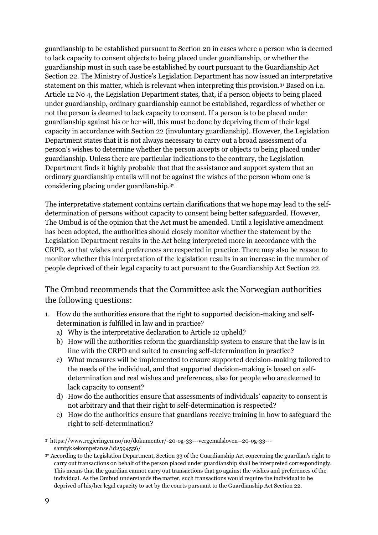guardianship to be established pursuant to Section 20 in cases where a person who is deemed to lack capacity to consent objects to being placed under guardianship, or whether the guardianship must in such case be established by court pursuant to the Guardianship Act Section 22. The Ministry of Justice's Legislation Department has now issued an interpretative statement on this matter, which is relevant when interpreting this provision.<sup>31</sup> Based on i.a. Article 12 No 4, the Legislation Department states, that, if a person objects to being placed under guardianship, ordinary guardianship cannot be established, regardless of whether or not the person is deemed to lack capacity to consent. If a person is to be placed under guardianship against his or her will, this must be done by depriving them of their legal capacity in accordance with Section 22 (involuntary guardianship). However, the Legislation Department states that it is not always necessary to carry out a broad assessment of a person's wishes to determine whether the person accepts or objects to being placed under guardianship. Unless there are particular indications to the contrary, the Legislation Department finds it highly probable that that the assistance and support system that an ordinary guardianship entails will not be against the wishes of the person whom one is considering placing under guardianship.<sup>32</sup>

The interpretative statement contains certain clarifications that we hope may lead to the selfdetermination of persons without capacity to consent being better safeguarded. However, The Ombud is of the opinion that the Act must be amended. Until a legislative amendment has been adopted, the authorities should closely monitor whether the statement by the Legislation Department results in the Act being interpreted more in accordance with the CRPD, so that wishes and preferences are respected in practice. There may also be reason to monitor whether this interpretation of the legislation results in an increase in the number of people deprived of their legal capacity to act pursuant to the Guardianship Act Section 22.

- 1. How do the authorities ensure that the right to supported decision-making and selfdetermination is fulfilled in law and in practice?
	- a) Why is the interpretative declaration to Article 12 upheld?
	- b) How will the authorities reform the guardianship system to ensure that the law is in line with the CRPD and suited to ensuring self-determination in practice?
	- c) What measures will be implemented to ensure supported decision-making tailored to the needs of the individual, and that supported decision-making is based on selfdetermination and real wishes and preferences, also for people who are deemed to lack capacity to consent?
	- d) How do the authorities ensure that assessments of individuals' capacity to consent is not arbitrary and that their right to self-determination is respected?
	- e) How do the authorities ensure that guardians receive training in how to safeguard the right to self-determination?

<sup>&</sup>lt;u>.</u> <sup>31</sup> https://www.regjeringen.no/no/dokumenter/-20-og-33---vergemalsloven--20-og-33-- samtykkekompetanse/id2594556/

<sup>32</sup> According to the Legislation Department, Section 33 of the Guardianship Act concerning the guardian's right to carry out transactions on behalf of the person placed under guardianship shall be interpreted correspondingly. This means that the guardian cannot carry out transactions that go against the wishes and preferences of the individual. As the Ombud understands the matter, such transactions would require the individual to be deprived of his/her legal capacity to act by the courts pursuant to the Guardianship Act Section 22.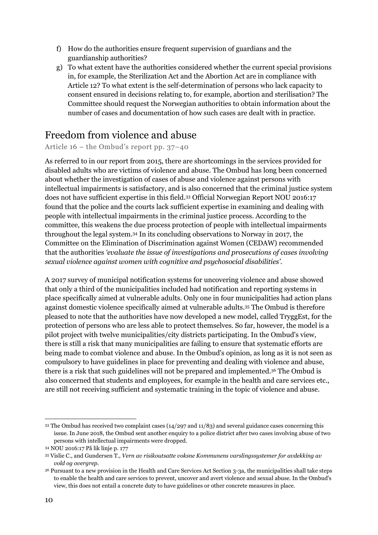- f) How do the authorities ensure frequent supervision of guardians and the guardianship authorities?
- g) To what extent have the authorities considered whether the current special provisions in, for example, the Sterilization Act and the Abortion Act are in compliance with Article 12? To what extent is the self-determination of persons who lack capacity to consent ensured in decisions relating to, for example, abortion and sterilisation? The Committee should request the Norwegian authorities to obtain information about the number of cases and documentation of how such cases are dealt with in practice.

#### Freedom from violence and abuse

Article 16 – the Ombud's report pp. 37–40

As referred to in our report from 2015, there are shortcomings in the services provided for disabled adults who are victims of violence and abuse. The Ombud has long been concerned about whether the investigation of cases of abuse and violence against persons with intellectual impairments is satisfactory, and is also concerned that the criminal justice system does not have sufficient expertise in this field.<sup>33</sup> Official Norwegian Report NOU 2016:17 found that the police and the courts lack sufficient expertise in examining and dealing with people with intellectual impairments in the criminal justice process. According to the committee, this weakens the due process protection of people with intellectual impairments throughout the legal system.<sup>34</sup> In its concluding observations to Norway in 2017, the Committee on the Elimination of Discrimination against Women (CEDAW) recommended that the authorities *'evaluate the issue of investigations and prosecutions of cases involving sexual violence against women with cognitive and psychosocial disabilities'.*

A 2017 survey of municipal notification systems for uncovering violence and abuse showed that only a third of the municipalities included had notification and reporting systems in place specifically aimed at vulnerable adults. Only one in four municipalities had action plans against domestic violence specifically aimed at vulnerable adults.<sup>35</sup> The Ombud is therefore pleased to note that the authorities have now developed a new model, called TryggEst, for the protection of persons who are less able to protect themselves. So far, however, the model is a pilot project with twelve municipalities/city districts participating. In the Ombud's view, there is still a risk that many municipalities are failing to ensure that systematic efforts are being made to combat violence and abuse. In the Ombud's opinion, as long as it is not seen as compulsory to have guidelines in place for preventing and dealing with violence and abuse, there is a risk that such guidelines will not be prepared and implemented.<sup>36</sup> The Ombud is also concerned that students and employees, for example in the health and care services etc., are still not receiving sufficient and systematic training in the topic of violence and abuse.

<sup>&</sup>lt;u>.</u> <sup>33</sup> The Ombud has received two complaint cases (14/297 and 11/83) and several guidance cases concerning this issue. In June 2018, the Ombud sent another enquiry to a police district after two cases involving abuse of two persons with intellectual impairments were dropped.

<sup>34</sup> NOU 2016:17 På lik linje p. 177

<sup>35</sup> Vislie C., and Gundersen T., *Vern av risikoutsatte voksne Kommunens varslingssystemer for avdekking av vold og overgrep.* 

<sup>36</sup> Pursuant to a new provision in the Health and Care Services Act Section 3-3a, the municipalities shall take steps to enable the health and care services to prevent, uncover and avert violence and sexual abuse. In the Ombud's view, this does not entail a concrete duty to have guidelines or other concrete measures in place.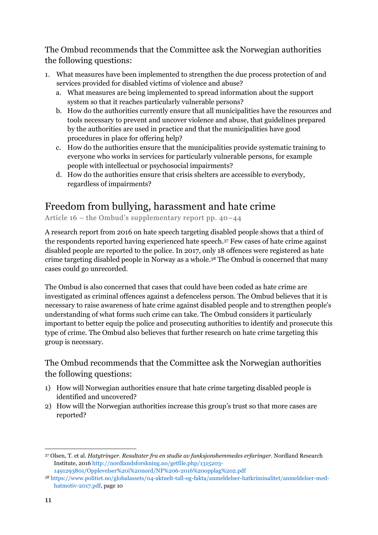The Ombud recommends that the Committee ask the Norwegian authorities the following questions:

- 1. What measures have been implemented to strengthen the due process protection of and services provided for disabled victims of violence and abuse?
	- a. What measures are being implemented to spread information about the support system so that it reaches particularly vulnerable persons?
	- b. How do the authorities currently ensure that all municipalities have the resources and tools necessary to prevent and uncover violence and abuse, that guidelines prepared by the authorities are used in practice and that the municipalities have good procedures in place for offering help?
	- c. How do the authorities ensure that the municipalities provide systematic training to everyone who works in services for particularly vulnerable persons, for example people with intellectual or psychosocial impairments?
	- d. How do the authorities ensure that crisis shelters are accessible to everybody, regardless of impairments?

# Freedom from bullying, harassment and hate crime

Article 16 – the Ombud's supplementary report pp. 40–44

A research report from 2016 on hate speech targeting disabled people shows that a third of the respondents reported having experienced hate speech.<sup>37</sup> Few cases of hate crime against disabled people are reported to the police. In 2017, only 18 offences were registered as hate crime targeting disabled people in Norway as a whole.<sup>38</sup> The Ombud is concerned that many cases could go unrecorded.

The Ombud is also concerned that cases that could have been coded as hate crime are investigated as criminal offences against a defenceless person. The Ombud believes that it is necessary to raise awareness of hate crime against disabled people and to strengthen people's understanding of what forms such crime can take. The Ombud considers it particularly important to better equip the police and prosecuting authorities to identify and prosecute this type of crime. The Ombud also believes that further research on hate crime targeting this group is necessary.

- 1) How will Norwegian authorities ensure that hate crime targeting disabled people is identified and uncovered?
- 2) How will the Norwegian authorities increase this group's trust so that more cases are reported?

<sup>&</sup>lt;u>.</u> <sup>37</sup> Olsen, T. et al. *Hatytringer. Resultater fra en studie av funksjonshemmedes erfaringer.* Nordland Research Institute, 201[6 http://nordlandsforskning.no/getfile.php/1315203-](http://nordlandsforskning.no/getfile.php/1315203-1491293801/Opplevelser%20i%20nord/NF%206-2016%20opplag%202.pdf) [1491293801/Opplevelser%20i%20nord/NF%206-2016%20opplag%202.pdf](http://nordlandsforskning.no/getfile.php/1315203-1491293801/Opplevelser%20i%20nord/NF%206-2016%20opplag%202.pdf)

<sup>38</sup> [https://www.politiet.no/globalassets/04-aktuelt-tall-og-fakta/anmeldelser-hatkriminalitet/anmeldelser-med](https://www.politiet.no/globalassets/04-aktuelt-tall-og-fakta/anmeldelser-hatkriminalitet/anmeldelser-med-hatmotiv-2017.pdf)[hatmotiv-2017.pdf,](https://www.politiet.no/globalassets/04-aktuelt-tall-og-fakta/anmeldelser-hatkriminalitet/anmeldelser-med-hatmotiv-2017.pdf) page 10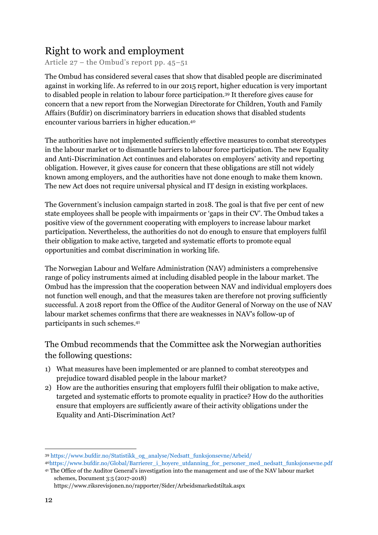# Right to work and employment

Article 27 – the Ombud's report pp. 45–51

The Ombud has considered several cases that show that disabled people are discriminated against in working life. As referred to in our 2015 report, higher education is very important to disabled people in relation to labour force participation.<sup>39</sup> It therefore gives cause for concern that a new report from the Norwegian Directorate for Children, Youth and Family Affairs (Bufdir) on discriminatory barriers in education shows that disabled students encounter various barriers in higher education.<sup>40</sup>

The authorities have not implemented sufficiently effective measures to combat stereotypes in the labour market or to dismantle barriers to labour force participation. The new Equality and Anti-Discrimination Act continues and elaborates on employers' activity and reporting obligation. However, it gives cause for concern that these obligations are still not widely known among employers, and the authorities have not done enough to make them known. The new Act does not require universal physical and IT design in existing workplaces.

The Government's inclusion campaign started in 2018. The goal is that five per cent of new state employees shall be people with impairments or 'gaps in their CV'. The Ombud takes a positive view of the government cooperating with employers to increase labour market participation. Nevertheless, the authorities do not do enough to ensure that employers fulfil their obligation to make active, targeted and systematic efforts to promote equal opportunities and combat discrimination in working life.

The Norwegian Labour and Welfare Administration (NAV) administers a comprehensive range of policy instruments aimed at including disabled people in the labour market. The Ombud has the impression that the cooperation between NAV and individual employers does not function well enough, and that the measures taken are therefore not proving sufficiently successful. A 2018 report from the Office of the Auditor General of Norway on the use of NAV labour market schemes confirms that there are weaknesses in NAV's follow-up of participants in such schemes. 41

- 1) What measures have been implemented or are planned to combat stereotypes and prejudice toward disabled people in the labour market?
- 2) How are the authorities ensuring that employers fulfil their obligation to make active, targeted and systematic efforts to promote equality in practice? How do the authorities ensure that employers are sufficiently aware of their activity obligations under the Equality and Anti-Discrimination Act?

<sup>&</sup>lt;u>.</u> <sup>39</sup> [https://www.bufdir.no/Statistikk\\_og\\_analyse/Nedsatt\\_funksjonsevne/Arbeid/](https://www.bufdir.no/Statistikk_og_analyse/Nedsatt_funksjonsevne/Arbeid/) <sup>40</sup>[https://www.bufdir.no/Global/Barrierer\\_i\\_hoyere\\_utdanning\\_for\\_personer\\_med\\_nedsatt\\_funksjonsevne.pdf](https://www.bufdir.no/Global/Barrierer_i_hoyere_utdanning_for_personer_med_nedsatt_funksjonsevne.pdf)

<sup>41</sup> The Office of the Auditor General's investigation into the management and use of the NAV labour market schemes, Document 3:5 (2017-2018)

<https://www.riksrevisjonen.no/rapporter/Sider/Arbeidsmarkedstiltak.aspx>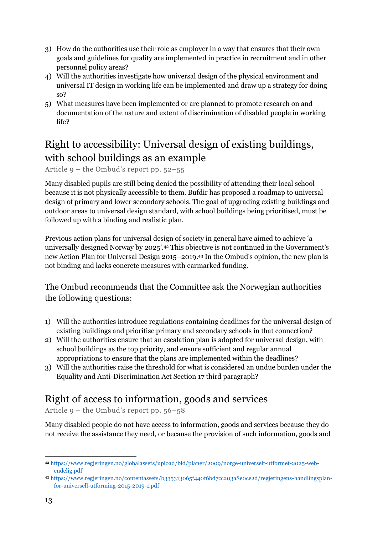- 3) How do the authorities use their role as employer in a way that ensures that their own goals and guidelines for quality are implemented in practice in recruitment and in other personnel policy areas?
- 4) Will the authorities investigate how universal design of the physical environment and universal IT design in working life can be implemented and draw up a strategy for doing so?
- 5) What measures have been implemented or are planned to promote research on and documentation of the nature and extent of discrimination of disabled people in working life?

# Right to accessibility: Universal design of existing buildings, with school buildings as an example

Article 9 – the Ombud's report pp. 52–55

Many disabled pupils are still being denied the possibility of attending their local school because it is not physically accessible to them. Bufdir has proposed a roadmap to universal design of primary and lower secondary schools. The goal of upgrading existing buildings and outdoor areas to universal design standard, with school buildings being prioritised, must be followed up with a binding and realistic plan.

Previous action plans for universal design of society in general have aimed to achieve 'a universally designed Norway by 2025'.<sup>42</sup> This objective is not continued in the Government's new Action Plan for Universal Design 2015–2019.<sup>43</sup> In the Ombud's opinion, the new plan is not binding and lacks concrete measures with earmarked funding.

The Ombud recommends that the Committee ask the Norwegian authorities the following questions:

- 1) Will the authorities introduce regulations containing deadlines for the universal design of existing buildings and prioritise primary and secondary schools in that connection?
- 2) Will the authorities ensure that an escalation plan is adopted for universal design, with school buildings as the top priority, and ensure sufficient and regular annual appropriations to ensure that the plans are implemented within the deadlines?
- 3) Will the authorities raise the threshold for what is considered an undue burden under the Equality and Anti-Discrimination Act Section 17 third paragraph?

# Right of access to information, goods and services

Article 9 – the Ombud's report pp. 56–58

Many disabled people do not have access to information, goods and services because they do not receive the assistance they need, or because the provision of such information, goods and

<sup>&</sup>lt;u>.</u> <sup>42</sup> [https://www.regjeringen.no/globalassets/upload/bld/planer/2009/norge-universelt-utformet-2025-web](https://www.regjeringen.no/globalassets/upload/bld/planer/2009/norge-universelt-utformet-2025-web-endelig.pdf)[endelig.pdf](https://www.regjeringen.no/globalassets/upload/bld/planer/2009/norge-universelt-utformet-2025-web-endelig.pdf)

<sup>43</sup> [https://www.regjeringen.no/contentassets/b335313065f440f6bd7cc203a8e0ce2d/regjeringens-handlingsplan](https://www.regjeringen.no/contentassets/b335313065f440f6bd7cc203a8e0ce2d/regjeringens-handlingsplan-for-universell-utforming-2015-2019-1.pdf)[for-universell-utforming-2015-2019-1.pdf](https://www.regjeringen.no/contentassets/b335313065f440f6bd7cc203a8e0ce2d/regjeringens-handlingsplan-for-universell-utforming-2015-2019-1.pdf)